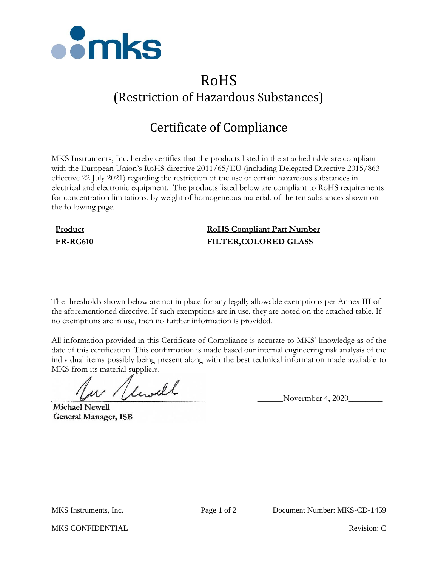

# RoHS (Restriction of Hazardous Substances)

# Certificate of Compliance

MKS Instruments, Inc. hereby certifies that the products listed in the attached table are compliant with the European Union's RoHS directive 2011/65/EU (including Delegated Directive 2015/863 effective 22 July 2021) regarding the restriction of the use of certain hazardous substances in electrical and electronic equipment. The products listed below are compliant to RoHS requirements for concentration limitations, by weight of homogeneous material, of the ten substances shown on the following page.

## **Product RoHS Compliant Part Number FR-RG610 FILTER,COLORED GLASS**

The thresholds shown below are not in place for any legally allowable exemptions per Annex III of the aforementioned directive. If such exemptions are in use, they are noted on the attached table. If no exemptions are in use, then no further information is provided.

All information provided in this Certificate of Compliance is accurate to MKS' knowledge as of the date of this certification. This confirmation is made based our internal engineering risk analysis of the individual items possibly being present along with the best technical information made available to MKS from its material suppliers.

 $\mu$  / limitle Novermber 4, 2020

**Michael Newell General Manager, ISB** 

MKS CONFIDENTIAL **Revision:** C